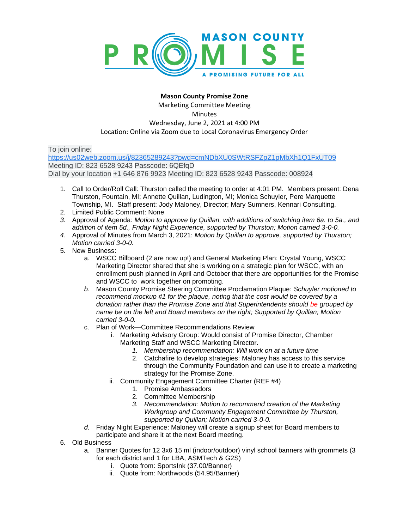

## **Mason County Promise Zone**

Marketing Committee Meeting **Minutes** Wednesday, June 2, 2021 at 4:00 PM Location: Online via Zoom due to Local Coronavirus Emergency Order

To join online:

[https://us02web.zoom.us/j/82365289243?pwd=cmNDbXU0SWtRSFZpZ1pMbXh1Q1FxUT09](https://www.google.com/url?q=https://us02web.zoom.us/j/82365289243?pwd%3DcmNDbXU0SWtRSFZpZ1pMbXh1Q1FxUT09&sa=D&source=calendar&ust=1607283821735000&usg=AOvVaw0qE_UDVs3oD-3p4h2RxmTz) Meeting ID: 823 6528 9243 Passcode: 6QEfqD Dial by your location +1 646 876 9923 Meeting ID: 823 6528 9243 Passcode: 008924

- 1. Call to Order/Roll Call: Thurston called the meeting to order at 4:01 PM. Members present: Dena Thurston, Fountain, MI; Annette Quillan, Ludington, MI; Monica Schuyler, Pere Marquette Township, MI. Staff present: Jody Maloney, Director; Mary Sumners, Kennari Consulting.
- 2. Limited Public Comment: None
- *3.* Approval of Agenda: *Motion to approve by Quillan, with additions of switching item 6a. to 5a., and addition of item 5d., Friday Night Experience, supported by Thurston; Motion carried 3-0-0.*
- *4.* Approval of Minutes from March 3, 2021: *Motion by Quillan to approve, supported by Thurston; Motion carried 3-0-0.*
- 5. New Business:
	- a. WSCC Billboard (2 are now up!) and General Marketing Plan: Crystal Young, WSCC Marketing Director shared that she is working on a strategic plan for WSCC, with an enrollment push planned in April and October that there are opportunities for the Promise and WSCC to work together on promoting.
	- *b.* Mason County Promise Steering Committee Proclamation Plaque: *Schuyler motioned to recommend mockup #1 for the plaque, noting that the cost would be covered by a donation rather than the Promise Zone and that Superintendents should be grouped by name be on the left and Board members on the right; Supported by Quillan; Motion carried 3-0-0.*
	- c. Plan of Work—Committee Recommendations Review
		- i. Marketing Advisory Group: Would consist of Promise Director, Chamber Marketing Staff and WSCC Marketing Director.
			- *1. Membership recommendation: Will work on at a future time*
			- 2. Catchafire to develop strategies: Maloney has access to this service through the Community Foundation and can use it to create a marketing strategy for the Promise Zone.
		- ii. Community Engagement Committee Charter (REF #4)
			- 1. Promise Ambassadors
			- 2. Committee Membership
			- *3. Recommendation: Motion to recommend creation of the Marketing Workgroup and Community Engagement Committee by Thurston, supported by Quillan; Motion carried 3-0-0.*
	- *d.* Friday Night Experience: Maloney will create a signup sheet for Board members to participate and share it at the next Board meeting.
- 6. Old Business
	- a. Banner Quotes for 12 3x6 15 ml (indoor/outdoor) vinyl school banners with grommets (3 for each district and 1 for LBA, ASMTech & G2S)
		- i. Quote from: SportsInk (37.00/Banner)
		- ii. Quote from: Northwoods (54.95/Banner)